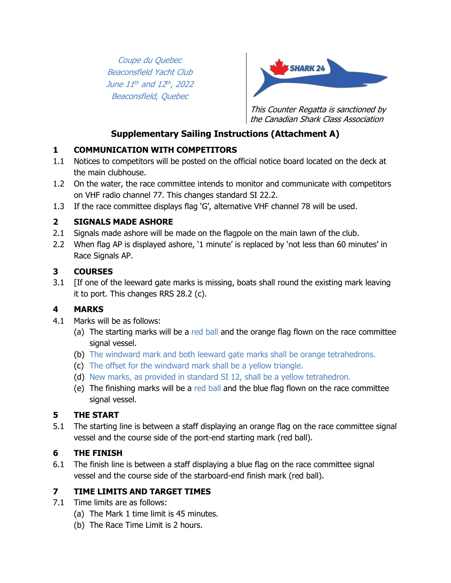Coupe du Quebec Beaconsfield Yacht Club June 11th and 12th, 2022 Beaconsfield, Quebec



This Counter Regatta is sanctioned by the Canadian Shark Class Association

## **Supplementary Sailing Instructions (Attachment A)**

#### **1 COMMUNICATION WITH COMPETITORS**

- 1.1 Notices to competitors will be posted on the official notice board located on the deck at the main clubhouse.
- 1.2 On the water, the race committee intends to monitor and communicate with competitors on VHF radio channel 77. This changes standard SI 22.2.
- 1.3 If the race committee displays flag 'G', alternative VHF channel 78 will be used.

#### **2 SIGNALS MADE ASHORE**

- 2.1 Signals made ashore will be made on the flagpole on the main lawn of the club.
- 2.2 When flag AP is displayed ashore, '1 minute' is replaced by 'not less than 60 minutes' in Race Signals AP.

## **3 COURSES**

3.1 [If one of the leeward gate marks is missing, boats shall round the existing mark leaving it to port. This changes RRS 28.2 (c).

# **4 MARKS**

- 4.1 Marks will be as follows:
	- (a) The starting marks will be a red ball and the orange flag flown on the race committee signal vessel.
	- (b) The windward mark and both leeward gate marks shall be orange tetrahedrons.
	- (c) The offset for the windward mark shall be a yellow triangle.
	- (d) New marks, as provided in standard SI 12, shall be a yellow tetrahedron.
	- (e) The finishing marks will be a red ball and the blue flag flown on the race committee signal vessel.

## **5 THE START**

5.1 The starting line is between a staff displaying an orange flag on the race committee signal vessel and the course side of the port-end starting mark (red ball).

## **6 THE FINISH**

6.1 The finish line is between a staff displaying a blue flag on the race committee signal vessel and the course side of the starboard-end finish mark (red ball).

#### **7 TIME LIMITS AND TARGET TIMES**

- 7.1 Time limits are as follows:
	- (a) The Mark 1 time limit is 45 minutes.
	- (b) The Race Time Limit is 2 hours.